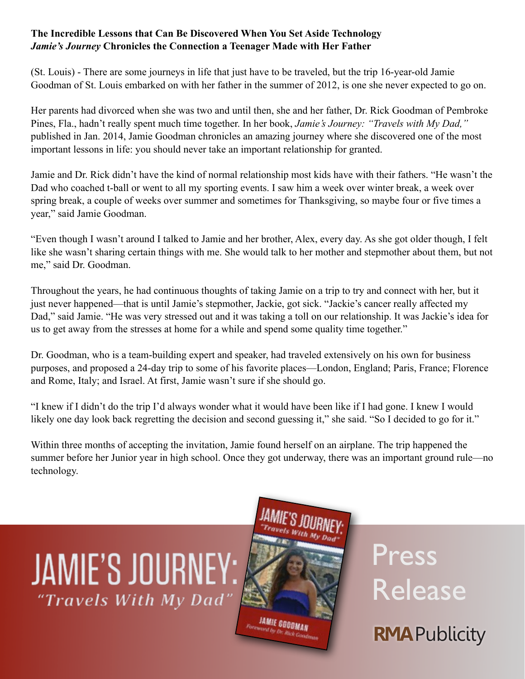## **The Incredible Lessons that Can Be Discovered When You Set Aside Technology**  *Jamie's Journey* **Chronicles the Connection a Teenager Made with Her Father**

(St. Louis) - There are some journeys in life that just have to be traveled, but the trip 16-year-old Jamie Goodman of St. Louis embarked on with her father in the summer of 2012, is one she never expected to go on.

Her parents had divorced when she was two and until then, she and her father, Dr. Rick Goodman of Pembroke Pines, Fla., hadn't really spent much time together. In her book, *Jamie's Journey: "Travels with My Dad,"* published in Jan. 2014, Jamie Goodman chronicles an amazing journey where she discovered one of the most important lessons in life: you should never take an important relationship for granted.

Jamie and Dr. Rick didn't have the kind of normal relationship most kids have with their fathers. "He wasn't the Dad who coached t-ball or went to all my sporting events. I saw him a week over winter break, a week over spring break, a couple of weeks over summer and sometimes for Thanksgiving, so maybe four or five times a year," said Jamie Goodman.

"Even though I wasn't around I talked to Jamie and her brother, Alex, every day. As she got older though, I felt like she wasn't sharing certain things with me. She would talk to her mother and stepmother about them, but not me," said Dr. Goodman.

Throughout the years, he had continuous thoughts of taking Jamie on a trip to try and connect with her, but it just never happened—that is until Jamie's stepmother, Jackie, got sick. "Jackie's cancer really affected my Dad," said Jamie. "He was very stressed out and it was taking a toll on our relationship. It was Jackie's idea for us to get away from the stresses at home for a while and spend some quality time together."

Dr. Goodman, who is a team-building expert and speaker, had traveled extensively on his own for business purposes, and proposed a 24-day trip to some of his favorite places—London, England; Paris, France; Florence and Rome, Italy; and Israel. At first, Jamie wasn't sure if she should go.

"I knew if I didn't do the trip I'd always wonder what it would have been like if I had gone. I knew I would likely one day look back regretting the decision and second guessing it," she said. "So I decided to go for it."

Within three months of accepting the invitation, Jamie found herself on an airplane. The trip happened the summer before her Junior year in high school. Once they got underway, there was an important ground rule—no technology.





Press Release

**RMA** Publicity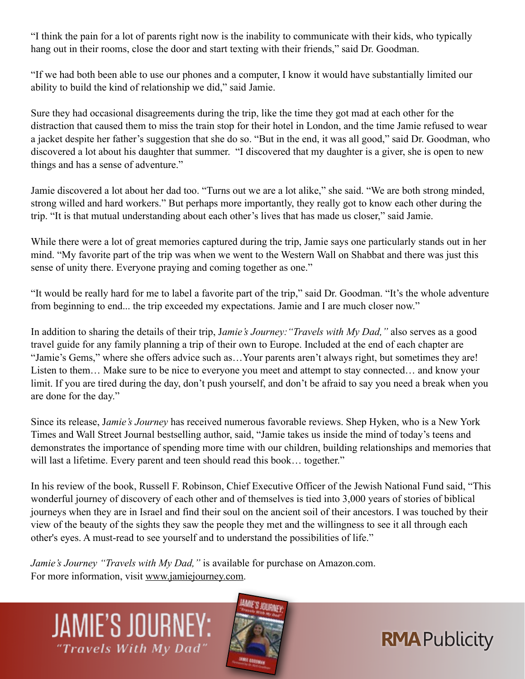"I think the pain for a lot of parents right now is the inability to communicate with their kids, who typically hang out in their rooms, close the door and start texting with their friends," said Dr. Goodman.

"If we had both been able to use our phones and a computer, I know it would have substantially limited our ability to build the kind of relationship we did," said Jamie.

Sure they had occasional disagreements during the trip, like the time they got mad at each other for the distraction that caused them to miss the train stop for their hotel in London, and the time Jamie refused to wear a jacket despite her father's suggestion that she do so. "But in the end, it was all good," said Dr. Goodman, who discovered a lot about his daughter that summer. "I discovered that my daughter is a giver, she is open to new things and has a sense of adventure."

Jamie discovered a lot about her dad too. "Turns out we are a lot alike," she said. "We are both strong minded, strong willed and hard workers." But perhaps more importantly, they really got to know each other during the trip. "It is that mutual understanding about each other's lives that has made us closer," said Jamie.

While there were a lot of great memories captured during the trip, Jamie says one particularly stands out in her mind. "My favorite part of the trip was when we went to the Western Wall on Shabbat and there was just this sense of unity there. Everyone praying and coming together as one."

"It would be really hard for me to label a favorite part of the trip," said Dr. Goodman. "It's the whole adventure from beginning to end... the trip exceeded my expectations. Jamie and I are much closer now."

In addition to sharing the details of their trip, J*amie's Journey:"Travels with My Dad,"* also serves as a good travel guide for any family planning a trip of their own to Europe. Included at the end of each chapter are "Jamie's Gems," where she offers advice such as…Your parents aren't always right, but sometimes they are! Listen to them… Make sure to be nice to everyone you meet and attempt to stay connected… and know your limit. If you are tired during the day, don't push yourself, and don't be afraid to say you need a break when you are done for the day."

Since its release, J*amie's Journey* has received numerous favorable reviews. Shep Hyken, who is a New York Times and Wall Street Journal bestselling author, said, "Jamie takes us inside the mind of today's teens and demonstrates the importance of spending more time with our children, building relationships and memories that will last a lifetime. Every parent and teen should read this book... together."

In his review of the book, Russell F. Robinson, Chief Executive Officer of the Jewish National Fund said, "This wonderful journey of discovery of each other and of themselves is tied into 3,000 years of stories of biblical journeys when they are in Israel and find their soul on the ancient soil of their ancestors. I was touched by their view of the beauty of the sights they saw the people they met and the willingness to see it all through each other's eyes. A must-read to see yourself and to understand the possibilities of life."

*Jamie's Journey "Travels with My Dad,"* is available for purchase on Amazon.com. For more information, visit [www.jamiejourney.com.](http://www.jamiejourney.com)